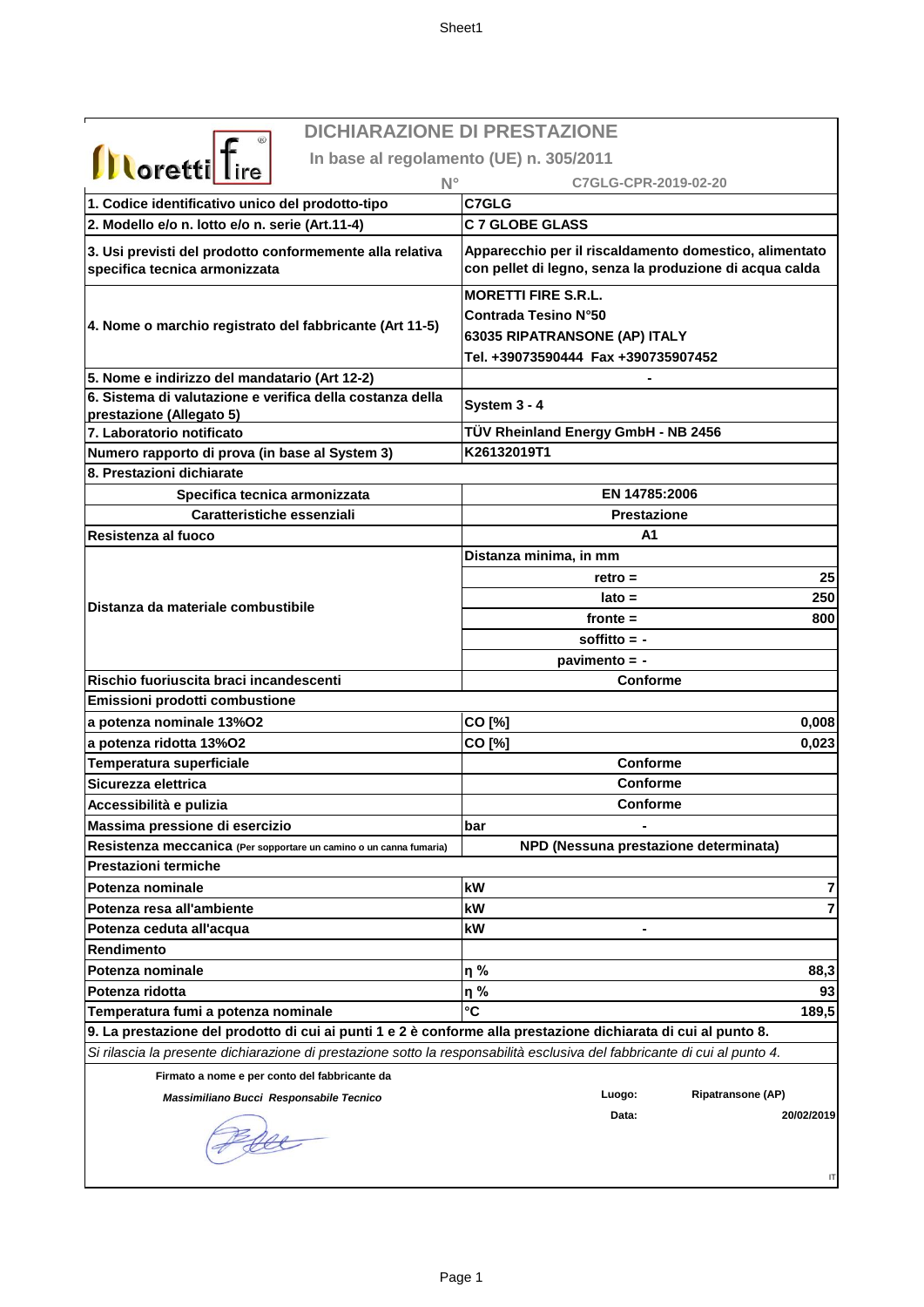| <b>Illoretti</b> Tire |  |
|-----------------------|--|

## **DICHIARAZIONE DI PRESTAZIONE**

**In base al regolamento (UE) n. 305/2011**

| <u>.</u><br>$N^{\circ}$                                                                                                   | C7GLG-CPR-2019-02-20                                                                                                              |
|---------------------------------------------------------------------------------------------------------------------------|-----------------------------------------------------------------------------------------------------------------------------------|
| 1. Codice identificativo unico del prodotto-tipo                                                                          | C7GLG                                                                                                                             |
| 2. Modello e/o n. lotto e/o n. serie (Art.11-4)                                                                           | <b>C 7 GLOBE GLASS</b>                                                                                                            |
| 3. Usi previsti del prodotto conformemente alla relativa<br>specifica tecnica armonizzata                                 | Apparecchio per il riscaldamento domestico, alimentato<br>con pellet di legno, senza la produzione di acqua calda                 |
| 4. Nome o marchio registrato del fabbricante (Art 11-5)                                                                   | <b>MORETTI FIRE S.R.L.</b><br><b>Contrada Tesino N°50</b><br>63035 RIPATRANSONE (AP) ITALY<br>Tel. +39073590444 Fax +390735907452 |
| 5. Nome e indirizzo del mandatario (Art 12-2)                                                                             |                                                                                                                                   |
| 6. Sistema di valutazione e verifica della costanza della<br>prestazione (Allegato 5)                                     | System 3 - 4                                                                                                                      |
| 7. Laboratorio notificato                                                                                                 | TÜV Rheinland Energy GmbH - NB 2456                                                                                               |
| Numero rapporto di prova (in base al System 3)                                                                            | K26132019T1                                                                                                                       |
| 8. Prestazioni dichiarate                                                                                                 |                                                                                                                                   |
| Specifica tecnica armonizzata                                                                                             | EN 14785:2006                                                                                                                     |
| <b>Caratteristiche essenziali</b>                                                                                         | <b>Prestazione</b>                                                                                                                |
| Resistenza al fuoco                                                                                                       | A1                                                                                                                                |
|                                                                                                                           | Distanza minima, in mm                                                                                                            |
|                                                                                                                           | 25<br>$retro =$                                                                                                                   |
|                                                                                                                           | 250<br>$lato =$                                                                                                                   |
| Distanza da materiale combustibile                                                                                        | fronte $=$<br>800                                                                                                                 |
|                                                                                                                           | soffitto $= -$                                                                                                                    |
|                                                                                                                           | pavimento = -                                                                                                                     |
| Rischio fuoriuscita braci incandescenti                                                                                   | Conforme                                                                                                                          |
| Emissioni prodotti combustione                                                                                            |                                                                                                                                   |
| a potenza nominale 13%O2                                                                                                  | CO [%]<br>0,008                                                                                                                   |
| a potenza ridotta 13%O2                                                                                                   | CO [%]<br>0,023                                                                                                                   |
| Temperatura superficiale                                                                                                  | Conforme                                                                                                                          |
| Sicurezza elettrica                                                                                                       | Conforme                                                                                                                          |
| Accessibilità e pulizia                                                                                                   | <b>Conforme</b>                                                                                                                   |
| Massima pressione di esercizio                                                                                            | bar                                                                                                                               |
| Resistenza meccanica (Per sopportare un camino o un canna fumaria)                                                        | NPD (Nessuna prestazione determinata)                                                                                             |
| Prestazioni termiche                                                                                                      |                                                                                                                                   |
| Potenza nominale                                                                                                          | kW<br>7                                                                                                                           |
| Potenza resa all'ambiente                                                                                                 | kW<br>7                                                                                                                           |
| Potenza ceduta all'acqua                                                                                                  | kW                                                                                                                                |
| Rendimento                                                                                                                |                                                                                                                                   |
| Potenza nominale                                                                                                          | η%<br>88,3                                                                                                                        |
| Potenza ridotta                                                                                                           | 93<br>η%                                                                                                                          |
| Temperatura fumi a potenza nominale                                                                                       | °C<br>189,5                                                                                                                       |
| 9. La prestazione del prodotto di cui ai punti 1 e 2 è conforme alla prestazione dichiarata di cui al punto 8.            |                                                                                                                                   |
| Si rilascia la presente dichiarazione di prestazione sotto la responsabilità esclusiva del fabbricante di cui al punto 4. |                                                                                                                                   |
| Firmato a nome e per conto del fabbricante da                                                                             |                                                                                                                                   |
| Massimiliano Bucci Responsabile Tecnico                                                                                   | <b>Ripatransone (AP)</b><br>Luogo:                                                                                                |
|                                                                                                                           | Data:<br>20/02/2019<br>IT                                                                                                         |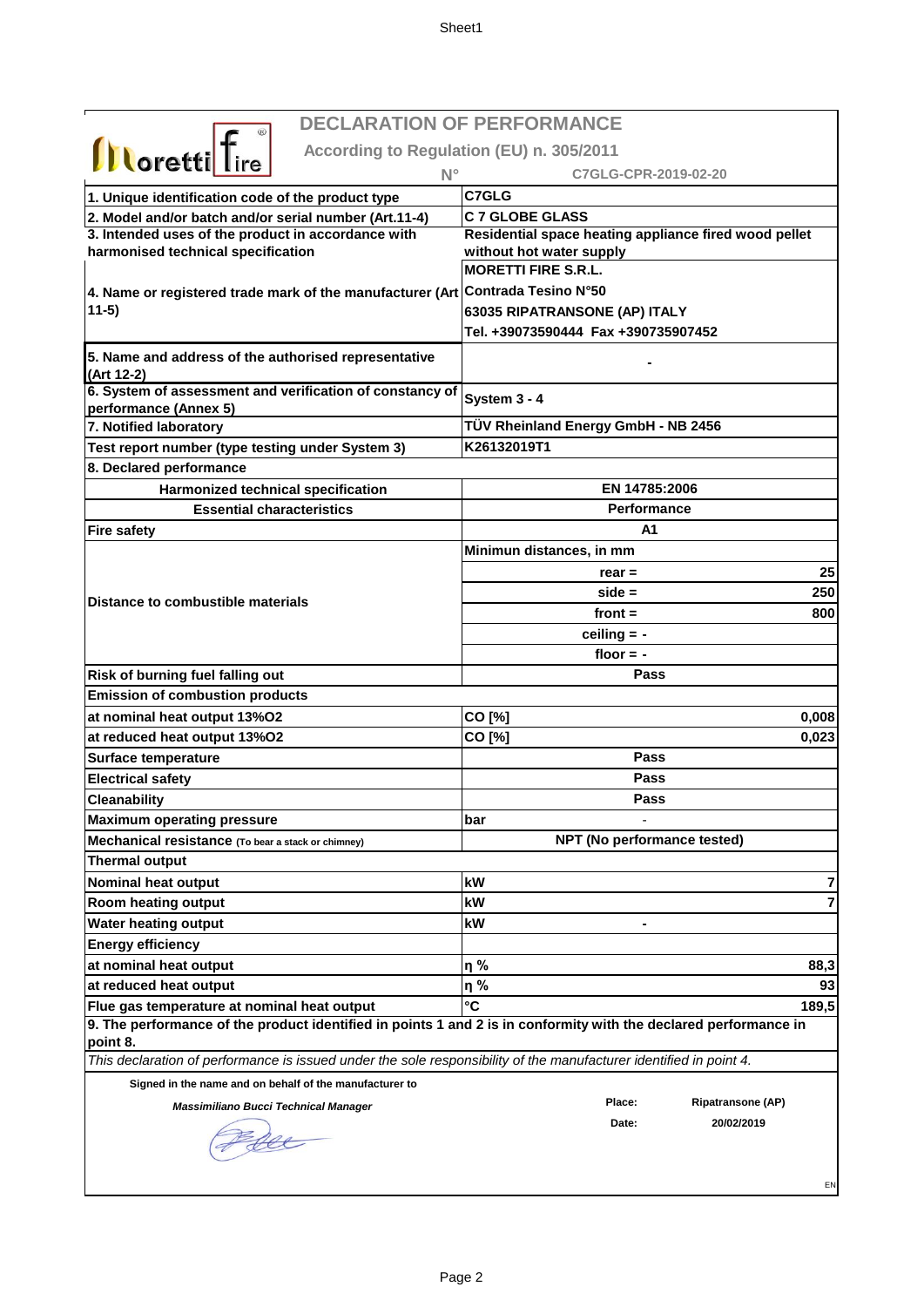|                                                                                                                    | <b>DECLARATION OF PERFORMANCE</b>                     |
|--------------------------------------------------------------------------------------------------------------------|-------------------------------------------------------|
| <b>Illoretti</b> Tire                                                                                              | According to Regulation (EU) n. 305/2011              |
| $N^{\circ}$                                                                                                        | C7GLG-CPR-2019-02-20                                  |
| 1. Unique identification code of the product type                                                                  | C7GLG                                                 |
| 2. Model and/or batch and/or serial number (Art.11-4)                                                              | <b>C 7 GLOBE GLASS</b>                                |
| 3. Intended uses of the product in accordance with                                                                 | Residential space heating appliance fired wood pellet |
| harmonised technical specification                                                                                 | without hot water supply                              |
|                                                                                                                    | <b>MORETTI FIRE S.R.L.</b>                            |
| 4. Name or registered trade mark of the manufacturer (Art Contrada Tesino N°50                                     |                                                       |
| $11-5)$                                                                                                            | 63035 RIPATRANSONE (AP) ITALY                         |
|                                                                                                                    | Tel. +39073590444 Fax +390735907452                   |
| 5. Name and address of the authorised representative<br>(Art 12-2)                                                 |                                                       |
| 6. System of assessment and verification of constancy of<br>performance (Annex 5)                                  | System 3 - 4                                          |
| 7. Notified laboratory                                                                                             | TÜV Rheinland Energy GmbH - NB 2456                   |
| Test report number (type testing under System 3)                                                                   | K26132019T1                                           |
| 8. Declared performance                                                                                            |                                                       |
| Harmonized technical specification                                                                                 | EN 14785:2006                                         |
| <b>Essential characteristics</b>                                                                                   | <b>Performance</b>                                    |
| <b>Fire safety</b>                                                                                                 | A1                                                    |
|                                                                                                                    | Minimun distances, in mm                              |
|                                                                                                                    | 25<br>$rear =$                                        |
| Distance to combustible materials                                                                                  | 250<br>$side =$                                       |
|                                                                                                                    | front $=$<br>800                                      |
|                                                                                                                    | ceiling $= -$                                         |
|                                                                                                                    | floor $= -$                                           |
| Risk of burning fuel falling out                                                                                   | Pass                                                  |
| <b>Emission of combustion products</b>                                                                             |                                                       |
| at nominal heat output 13%O2                                                                                       | CO [%]<br>0,008                                       |
| at reduced heat output 13%O2                                                                                       | CO [%]<br>0,023                                       |
| <b>Surface temperature</b>                                                                                         | Pass                                                  |
| <b>Electrical safety</b>                                                                                           | Pass                                                  |
| <b>Cleanability</b>                                                                                                | Pass                                                  |
| <b>Maximum operating pressure</b>                                                                                  | bar                                                   |
| Mechanical resistance (To bear a stack or chimney)                                                                 | NPT (No performance tested)                           |
| <b>Thermal output</b>                                                                                              |                                                       |
| Nominal heat output                                                                                                | kW<br>7                                               |
| Room heating output                                                                                                | kW<br>7                                               |
| <b>Water heating output</b>                                                                                        | kW                                                    |
| <b>Energy efficiency</b>                                                                                           |                                                       |
| at nominal heat output                                                                                             | η%<br>88,3                                            |
| at reduced heat output                                                                                             | η%<br>93                                              |
| Flue gas temperature at nominal heat output                                                                        | °C<br>189,5                                           |
| 9. The performance of the product identified in points 1 and 2 is in conformity with the declared performance in   |                                                       |
| point 8.                                                                                                           |                                                       |
| This declaration of performance is issued under the sole responsibility of the manufacturer identified in point 4. |                                                       |
| Signed in the name and on behalf of the manufacturer to                                                            |                                                       |
| <b>Massimiliano Bucci Technical Manager</b>                                                                        | Place:<br><b>Ripatransone (AP)</b>                    |
|                                                                                                                    | 20/02/2019<br>Date:                                   |
|                                                                                                                    |                                                       |
|                                                                                                                    |                                                       |
|                                                                                                                    | EN                                                    |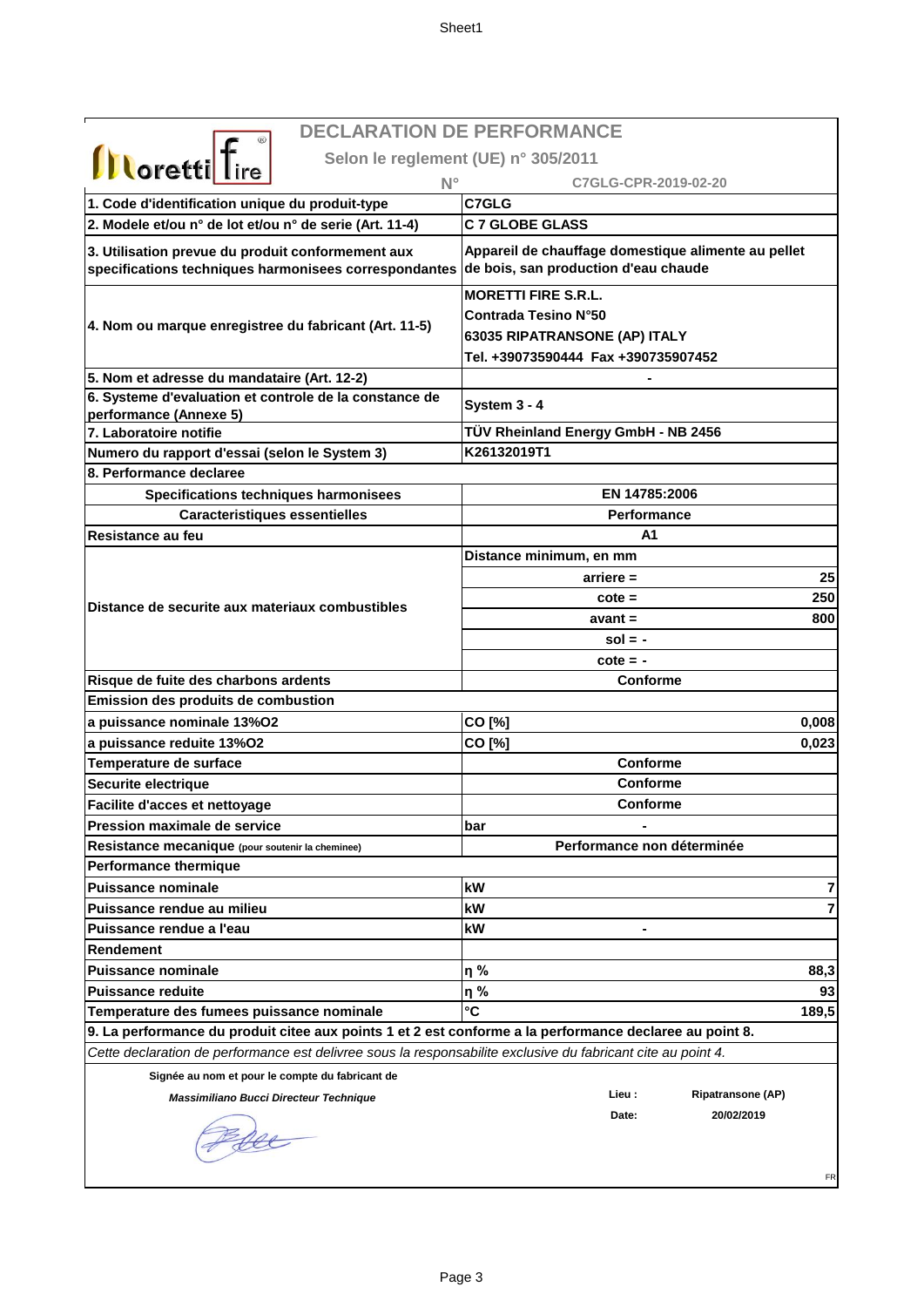|                                                                                                              | <b>DECLARATION DE PERFORMANCE</b>                                                           |
|--------------------------------------------------------------------------------------------------------------|---------------------------------------------------------------------------------------------|
|                                                                                                              | Selon le reglement (UE) n° 305/2011                                                         |
| <b>Illoretti</b> Tire                                                                                        | C7GLG-CPR-2019-02-20                                                                        |
| $N^{\circ}$                                                                                                  | C7GLG                                                                                       |
| 1. Code d'identification unique du produit-type                                                              | <b>C 7 GLOBE GLASS</b>                                                                      |
| 2. Modele et/ou n° de lot et/ou n° de serie (Art. 11-4)                                                      |                                                                                             |
| 3. Utilisation prevue du produit conformement aux<br>specifications techniques harmonisees correspondantes   | Appareil de chauffage domestique alimente au pellet<br>de bois, san production d'eau chaude |
|                                                                                                              | <b>MORETTI FIRE S.R.L.</b>                                                                  |
| 4. Nom ou marque enregistree du fabricant (Art. 11-5)                                                        | <b>Contrada Tesino N°50</b>                                                                 |
|                                                                                                              | 63035 RIPATRANSONE (AP) ITALY                                                               |
|                                                                                                              | Tel. +39073590444 Fax +390735907452                                                         |
| 5. Nom et adresse du mandataire (Art. 12-2)                                                                  |                                                                                             |
| 6. Systeme d'evaluation et controle de la constance de                                                       | System 3 - 4                                                                                |
| performance (Annexe 5)<br>7. Laboratoire notifie                                                             | TÜV Rheinland Energy GmbH - NB 2456                                                         |
| Numero du rapport d'essai (selon le System 3)                                                                | K26132019T1                                                                                 |
| 8. Performance declaree                                                                                      |                                                                                             |
|                                                                                                              | EN 14785:2006                                                                               |
| Specifications techniques harmonisees                                                                        | <b>Performance</b>                                                                          |
| Caracteristiques essentielles                                                                                |                                                                                             |
| Resistance au feu                                                                                            | А1                                                                                          |
|                                                                                                              | Distance minimum, en mm                                                                     |
|                                                                                                              | 25<br>$arriere =$                                                                           |
| Distance de securite aux materiaux combustibles                                                              | 250<br>$\cot$ e =                                                                           |
|                                                                                                              | 800<br>$avant =$                                                                            |
|                                                                                                              | $sol = -$                                                                                   |
|                                                                                                              | $\cot e = -$<br><b>Conforme</b>                                                             |
| Risque de fuite des charbons ardents<br>Emission des produits de combustion                                  |                                                                                             |
| a puissance nominale 13%O2                                                                                   | 0.008                                                                                       |
| a puissance reduite 13%O2                                                                                    | CO [%]<br>CO [%]<br>0,023                                                                   |
| Temperature de surface                                                                                       | Conforme                                                                                    |
| Securite electrique                                                                                          | <b>Conforme</b>                                                                             |
| Facilite d'acces et nettovage                                                                                | Conforme                                                                                    |
| <b>Pression maximale de service</b>                                                                          | bar<br>۰                                                                                    |
| Resistance mecanique (pour soutenir la cheminee)                                                             | Performance non déterminée                                                                  |
| <b>Performance thermique</b>                                                                                 |                                                                                             |
| <b>Puissance nominale</b>                                                                                    | kW<br>7                                                                                     |
| Puissance rendue au milieu                                                                                   | 7<br>kW                                                                                     |
| Puissance rendue a l'eau                                                                                     | kW                                                                                          |
| Rendement                                                                                                    |                                                                                             |
| <b>Puissance nominale</b>                                                                                    | η%<br>88,3                                                                                  |
| <b>Puissance reduite</b>                                                                                     |                                                                                             |
|                                                                                                              |                                                                                             |
|                                                                                                              | η%<br>93                                                                                    |
| Temperature des fumees puissance nominale                                                                    | °C<br>189,5                                                                                 |
| 9. La performance du produit citee aux points 1 et 2 est conforme a la performance declaree au point 8.      |                                                                                             |
| Cette declaration de performance est delivree sous la responsabilite exclusive du fabricant cite au point 4. |                                                                                             |
| Signée au nom et pour le compte du fabricant de                                                              | Lieu :<br><b>Ripatransone (AP)</b>                                                          |
| Massimiliano Bucci Directeur Technique                                                                       | 20/02/2019<br>Date:                                                                         |
|                                                                                                              |                                                                                             |
|                                                                                                              |                                                                                             |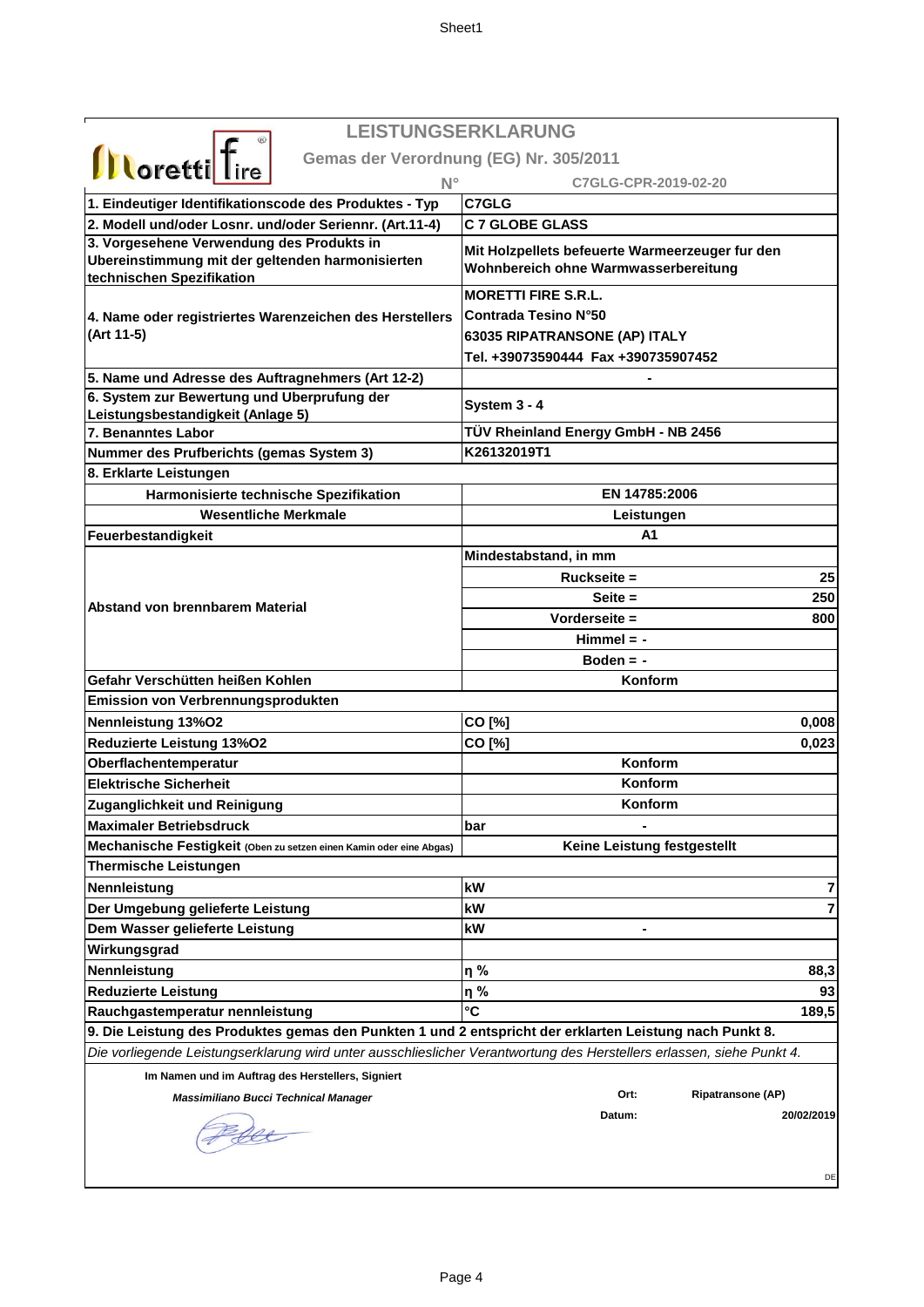| LEISTUNGSERKLARUNG<br><b>Illoretti</b> Tire<br>Gemas der Verordnung (EG) Nr. 305/2011<br>$N^{\circ}$<br>C7GLG-CPR-2019-02-20<br>C7GLG<br>1. Eindeutiger Identifikationscode des Produktes - Typ<br>2. Modell und/oder Losnr. und/oder Seriennr. (Art.11-4)<br><b>C 7 GLOBE GLASS</b><br>3. Vorgesehene Verwendung des Produkts in<br>Mit Holzpellets befeuerte Warmeerzeuger fur den<br>Ubereinstimmung mit der geltenden harmonisierten<br>Wohnbereich ohne Warmwasserbereitung<br>technischen Spezifikation<br><b>MORETTI FIRE S.R.L.</b><br>Contrada Tesino N°50<br>4. Name oder registriertes Warenzeichen des Herstellers<br>(Art 11-5)<br>63035 RIPATRANSONE (AP) ITALY<br>Tel. +39073590444 Fax +390735907452<br>5. Name und Adresse des Auftragnehmers (Art 12-2)<br>6. System zur Bewertung und Uberprufung der<br>System 3 - 4<br>Leistungsbestandigkeit (Anlage 5)<br>TÜV Rheinland Energy GmbH - NB 2456<br>7. Benanntes Labor<br>K26132019T1<br>Nummer des Prufberichts (gemas System 3)<br>8. Erklarte Leistungen<br>Harmonisierte technische Spezifikation<br>EN 14785:2006<br><b>Wesentliche Merkmale</b><br>Leistungen<br>A1<br>Feuerbestandigkeit<br>Mindestabstand, in mm<br>25<br>$Ruckseite =$<br>250<br>$Seite =$<br><b>Abstand von brennbarem Material</b><br>Vorderseite =<br>800<br>$Himmel = -$<br>Boden $= -$<br>Gefahr Verschütten heißen Kohlen<br>Konform |
|-----------------------------------------------------------------------------------------------------------------------------------------------------------------------------------------------------------------------------------------------------------------------------------------------------------------------------------------------------------------------------------------------------------------------------------------------------------------------------------------------------------------------------------------------------------------------------------------------------------------------------------------------------------------------------------------------------------------------------------------------------------------------------------------------------------------------------------------------------------------------------------------------------------------------------------------------------------------------------------------------------------------------------------------------------------------------------------------------------------------------------------------------------------------------------------------------------------------------------------------------------------------------------------------------------------------------------------------------------------------------------------------|
|                                                                                                                                                                                                                                                                                                                                                                                                                                                                                                                                                                                                                                                                                                                                                                                                                                                                                                                                                                                                                                                                                                                                                                                                                                                                                                                                                                                         |
|                                                                                                                                                                                                                                                                                                                                                                                                                                                                                                                                                                                                                                                                                                                                                                                                                                                                                                                                                                                                                                                                                                                                                                                                                                                                                                                                                                                         |
|                                                                                                                                                                                                                                                                                                                                                                                                                                                                                                                                                                                                                                                                                                                                                                                                                                                                                                                                                                                                                                                                                                                                                                                                                                                                                                                                                                                         |
|                                                                                                                                                                                                                                                                                                                                                                                                                                                                                                                                                                                                                                                                                                                                                                                                                                                                                                                                                                                                                                                                                                                                                                                                                                                                                                                                                                                         |
|                                                                                                                                                                                                                                                                                                                                                                                                                                                                                                                                                                                                                                                                                                                                                                                                                                                                                                                                                                                                                                                                                                                                                                                                                                                                                                                                                                                         |
|                                                                                                                                                                                                                                                                                                                                                                                                                                                                                                                                                                                                                                                                                                                                                                                                                                                                                                                                                                                                                                                                                                                                                                                                                                                                                                                                                                                         |
|                                                                                                                                                                                                                                                                                                                                                                                                                                                                                                                                                                                                                                                                                                                                                                                                                                                                                                                                                                                                                                                                                                                                                                                                                                                                                                                                                                                         |
|                                                                                                                                                                                                                                                                                                                                                                                                                                                                                                                                                                                                                                                                                                                                                                                                                                                                                                                                                                                                                                                                                                                                                                                                                                                                                                                                                                                         |
|                                                                                                                                                                                                                                                                                                                                                                                                                                                                                                                                                                                                                                                                                                                                                                                                                                                                                                                                                                                                                                                                                                                                                                                                                                                                                                                                                                                         |
|                                                                                                                                                                                                                                                                                                                                                                                                                                                                                                                                                                                                                                                                                                                                                                                                                                                                                                                                                                                                                                                                                                                                                                                                                                                                                                                                                                                         |
|                                                                                                                                                                                                                                                                                                                                                                                                                                                                                                                                                                                                                                                                                                                                                                                                                                                                                                                                                                                                                                                                                                                                                                                                                                                                                                                                                                                         |
|                                                                                                                                                                                                                                                                                                                                                                                                                                                                                                                                                                                                                                                                                                                                                                                                                                                                                                                                                                                                                                                                                                                                                                                                                                                                                                                                                                                         |
|                                                                                                                                                                                                                                                                                                                                                                                                                                                                                                                                                                                                                                                                                                                                                                                                                                                                                                                                                                                                                                                                                                                                                                                                                                                                                                                                                                                         |
|                                                                                                                                                                                                                                                                                                                                                                                                                                                                                                                                                                                                                                                                                                                                                                                                                                                                                                                                                                                                                                                                                                                                                                                                                                                                                                                                                                                         |
|                                                                                                                                                                                                                                                                                                                                                                                                                                                                                                                                                                                                                                                                                                                                                                                                                                                                                                                                                                                                                                                                                                                                                                                                                                                                                                                                                                                         |
|                                                                                                                                                                                                                                                                                                                                                                                                                                                                                                                                                                                                                                                                                                                                                                                                                                                                                                                                                                                                                                                                                                                                                                                                                                                                                                                                                                                         |
|                                                                                                                                                                                                                                                                                                                                                                                                                                                                                                                                                                                                                                                                                                                                                                                                                                                                                                                                                                                                                                                                                                                                                                                                                                                                                                                                                                                         |
|                                                                                                                                                                                                                                                                                                                                                                                                                                                                                                                                                                                                                                                                                                                                                                                                                                                                                                                                                                                                                                                                                                                                                                                                                                                                                                                                                                                         |
|                                                                                                                                                                                                                                                                                                                                                                                                                                                                                                                                                                                                                                                                                                                                                                                                                                                                                                                                                                                                                                                                                                                                                                                                                                                                                                                                                                                         |
|                                                                                                                                                                                                                                                                                                                                                                                                                                                                                                                                                                                                                                                                                                                                                                                                                                                                                                                                                                                                                                                                                                                                                                                                                                                                                                                                                                                         |
|                                                                                                                                                                                                                                                                                                                                                                                                                                                                                                                                                                                                                                                                                                                                                                                                                                                                                                                                                                                                                                                                                                                                                                                                                                                                                                                                                                                         |
|                                                                                                                                                                                                                                                                                                                                                                                                                                                                                                                                                                                                                                                                                                                                                                                                                                                                                                                                                                                                                                                                                                                                                                                                                                                                                                                                                                                         |
|                                                                                                                                                                                                                                                                                                                                                                                                                                                                                                                                                                                                                                                                                                                                                                                                                                                                                                                                                                                                                                                                                                                                                                                                                                                                                                                                                                                         |
|                                                                                                                                                                                                                                                                                                                                                                                                                                                                                                                                                                                                                                                                                                                                                                                                                                                                                                                                                                                                                                                                                                                                                                                                                                                                                                                                                                                         |
|                                                                                                                                                                                                                                                                                                                                                                                                                                                                                                                                                                                                                                                                                                                                                                                                                                                                                                                                                                                                                                                                                                                                                                                                                                                                                                                                                                                         |
|                                                                                                                                                                                                                                                                                                                                                                                                                                                                                                                                                                                                                                                                                                                                                                                                                                                                                                                                                                                                                                                                                                                                                                                                                                                                                                                                                                                         |
|                                                                                                                                                                                                                                                                                                                                                                                                                                                                                                                                                                                                                                                                                                                                                                                                                                                                                                                                                                                                                                                                                                                                                                                                                                                                                                                                                                                         |
| Emission von Verbrennungsprodukten                                                                                                                                                                                                                                                                                                                                                                                                                                                                                                                                                                                                                                                                                                                                                                                                                                                                                                                                                                                                                                                                                                                                                                                                                                                                                                                                                      |
| Nennleistung 13%O2<br>CO [%]<br>0,008                                                                                                                                                                                                                                                                                                                                                                                                                                                                                                                                                                                                                                                                                                                                                                                                                                                                                                                                                                                                                                                                                                                                                                                                                                                                                                                                                   |
| Reduzierte Leistung 13%02<br>CO [%]<br>0,023                                                                                                                                                                                                                                                                                                                                                                                                                                                                                                                                                                                                                                                                                                                                                                                                                                                                                                                                                                                                                                                                                                                                                                                                                                                                                                                                            |
| Konform<br>Oberflachentemperatur                                                                                                                                                                                                                                                                                                                                                                                                                                                                                                                                                                                                                                                                                                                                                                                                                                                                                                                                                                                                                                                                                                                                                                                                                                                                                                                                                        |
| <b>Elektrische Sicherheit</b><br>Konform                                                                                                                                                                                                                                                                                                                                                                                                                                                                                                                                                                                                                                                                                                                                                                                                                                                                                                                                                                                                                                                                                                                                                                                                                                                                                                                                                |
| Konform<br>Zuganglichkeit und Reinigung                                                                                                                                                                                                                                                                                                                                                                                                                                                                                                                                                                                                                                                                                                                                                                                                                                                                                                                                                                                                                                                                                                                                                                                                                                                                                                                                                 |
| <b>Maximaler Betriebsdruck</b><br>bar                                                                                                                                                                                                                                                                                                                                                                                                                                                                                                                                                                                                                                                                                                                                                                                                                                                                                                                                                                                                                                                                                                                                                                                                                                                                                                                                                   |
| Keine Leistung festgestellt<br>Mechanische Festigkeit (Oben zu setzen einen Kamin oder eine Abgas)                                                                                                                                                                                                                                                                                                                                                                                                                                                                                                                                                                                                                                                                                                                                                                                                                                                                                                                                                                                                                                                                                                                                                                                                                                                                                      |
| <b>Thermische Leistungen</b>                                                                                                                                                                                                                                                                                                                                                                                                                                                                                                                                                                                                                                                                                                                                                                                                                                                                                                                                                                                                                                                                                                                                                                                                                                                                                                                                                            |
| kW<br>7<br>Nennleistung                                                                                                                                                                                                                                                                                                                                                                                                                                                                                                                                                                                                                                                                                                                                                                                                                                                                                                                                                                                                                                                                                                                                                                                                                                                                                                                                                                 |
| 7<br>Der Umgebung gelieferte Leistung<br>kW                                                                                                                                                                                                                                                                                                                                                                                                                                                                                                                                                                                                                                                                                                                                                                                                                                                                                                                                                                                                                                                                                                                                                                                                                                                                                                                                             |
|                                                                                                                                                                                                                                                                                                                                                                                                                                                                                                                                                                                                                                                                                                                                                                                                                                                                                                                                                                                                                                                                                                                                                                                                                                                                                                                                                                                         |
| kW                                                                                                                                                                                                                                                                                                                                                                                                                                                                                                                                                                                                                                                                                                                                                                                                                                                                                                                                                                                                                                                                                                                                                                                                                                                                                                                                                                                      |
| Dem Wasser gelieferte Leistung                                                                                                                                                                                                                                                                                                                                                                                                                                                                                                                                                                                                                                                                                                                                                                                                                                                                                                                                                                                                                                                                                                                                                                                                                                                                                                                                                          |
| Wirkungsgrad                                                                                                                                                                                                                                                                                                                                                                                                                                                                                                                                                                                                                                                                                                                                                                                                                                                                                                                                                                                                                                                                                                                                                                                                                                                                                                                                                                            |
| η%<br>Nennleistung<br>88,3<br>93                                                                                                                                                                                                                                                                                                                                                                                                                                                                                                                                                                                                                                                                                                                                                                                                                                                                                                                                                                                                                                                                                                                                                                                                                                                                                                                                                        |
| <b>Reduzierte Leistung</b><br>η%<br>°C                                                                                                                                                                                                                                                                                                                                                                                                                                                                                                                                                                                                                                                                                                                                                                                                                                                                                                                                                                                                                                                                                                                                                                                                                                                                                                                                                  |
| 189,5<br>Rauchgastemperatur nennleistung                                                                                                                                                                                                                                                                                                                                                                                                                                                                                                                                                                                                                                                                                                                                                                                                                                                                                                                                                                                                                                                                                                                                                                                                                                                                                                                                                |
| 9. Die Leistung des Produktes gemas den Punkten 1 und 2 entspricht der erklarten Leistung nach Punkt 8.                                                                                                                                                                                                                                                                                                                                                                                                                                                                                                                                                                                                                                                                                                                                                                                                                                                                                                                                                                                                                                                                                                                                                                                                                                                                                 |
| Die vorliegende Leistungserklarung wird unter ausschlieslicher Verantwortung des Herstellers erlassen, siehe Punkt 4.                                                                                                                                                                                                                                                                                                                                                                                                                                                                                                                                                                                                                                                                                                                                                                                                                                                                                                                                                                                                                                                                                                                                                                                                                                                                   |
| Im Namen und im Auftrag des Herstellers, Signiert<br>Ort:                                                                                                                                                                                                                                                                                                                                                                                                                                                                                                                                                                                                                                                                                                                                                                                                                                                                                                                                                                                                                                                                                                                                                                                                                                                                                                                               |
| <b>Ripatransone (AP)</b><br><b>Massimiliano Bucci Technical Manager</b><br>Datum:                                                                                                                                                                                                                                                                                                                                                                                                                                                                                                                                                                                                                                                                                                                                                                                                                                                                                                                                                                                                                                                                                                                                                                                                                                                                                                       |
| 20/02/2019                                                                                                                                                                                                                                                                                                                                                                                                                                                                                                                                                                                                                                                                                                                                                                                                                                                                                                                                                                                                                                                                                                                                                                                                                                                                                                                                                                              |
|                                                                                                                                                                                                                                                                                                                                                                                                                                                                                                                                                                                                                                                                                                                                                                                                                                                                                                                                                                                                                                                                                                                                                                                                                                                                                                                                                                                         |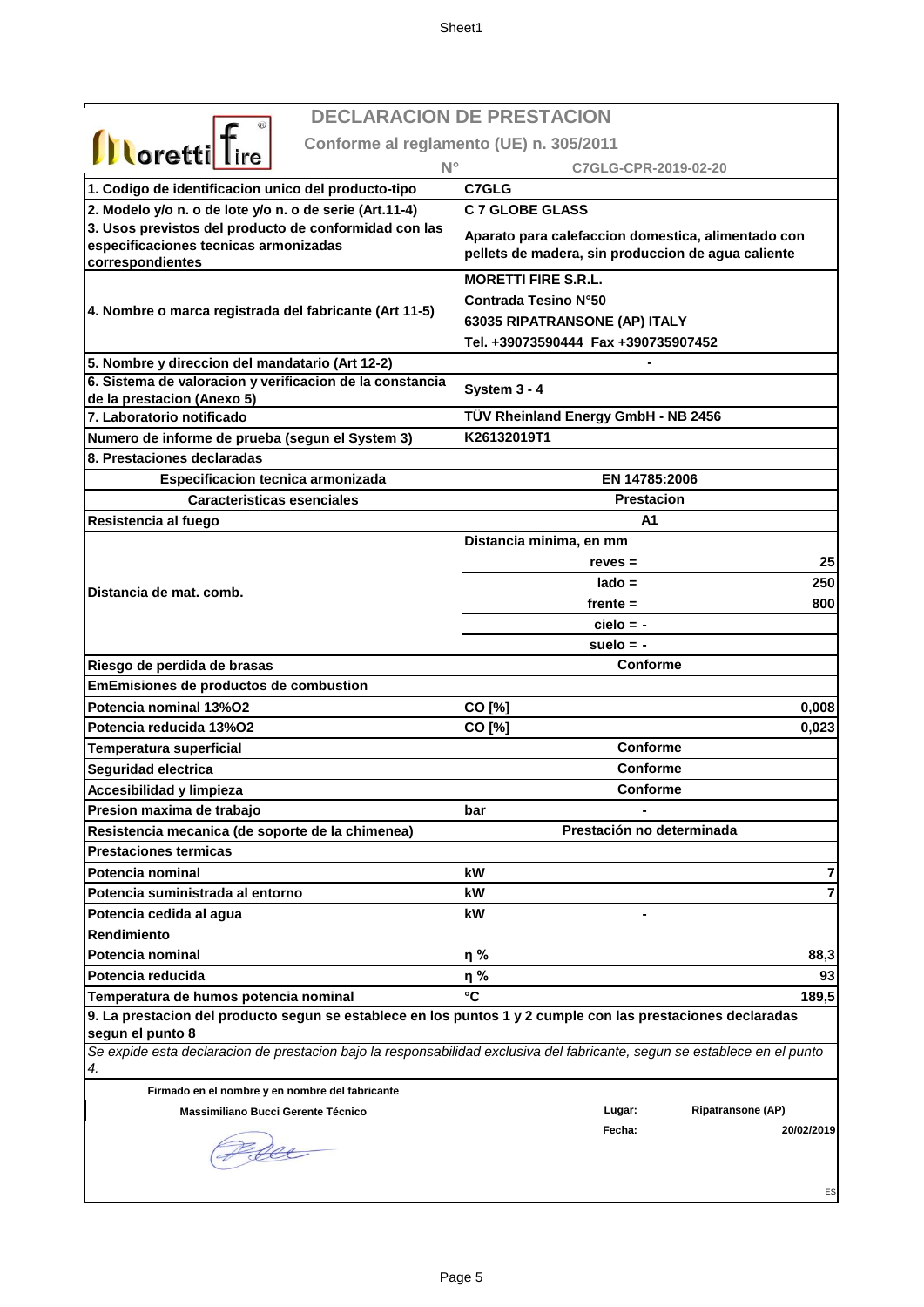**DECLARACION DE PRESTACION**

|                                                                                                                                                      | <b>DECLARACION DE PRESTACION</b>                                                                                          |
|------------------------------------------------------------------------------------------------------------------------------------------------------|---------------------------------------------------------------------------------------------------------------------------|
| <b>Illoretti</b> fire                                                                                                                                | Conforme al reglamento (UE) n. 305/2011                                                                                   |
| $N^{\circ}$                                                                                                                                          | C7GLG-CPR-2019-02-20                                                                                                      |
| 1. Codigo de identificacion unico del producto-tipo                                                                                                  | C7GLG                                                                                                                     |
| 2. Modelo y/o n. o de lote y/o n. o de serie (Art.11-4)                                                                                              | <b>C 7 GLOBE GLASS</b>                                                                                                    |
| 3. Usos previstos del producto de conformidad con las                                                                                                |                                                                                                                           |
| especificaciones tecnicas armonizadas                                                                                                                | Aparato para calefaccion domestica, alimentado con                                                                        |
| correspondientes                                                                                                                                     | pellets de madera, sin produccion de agua caliente                                                                        |
|                                                                                                                                                      | <b>MORETTI FIRE S.R.L.</b>                                                                                                |
| 4. Nombre o marca registrada del fabricante (Art 11-5)                                                                                               | Contrada Tesino N°50                                                                                                      |
|                                                                                                                                                      | 63035 RIPATRANSONE (AP) ITALY                                                                                             |
|                                                                                                                                                      | Tel. +39073590444 Fax +390735907452                                                                                       |
| 5. Nombre y direccion del mandatario (Art 12-2)                                                                                                      |                                                                                                                           |
| 6. Sistema de valoracion y verificacion de la constancia                                                                                             | System 3 - 4                                                                                                              |
| de la prestacion (Anexo 5)                                                                                                                           |                                                                                                                           |
| 7. Laboratorio notificado                                                                                                                            | TÜV Rheinland Energy GmbH - NB 2456                                                                                       |
| Numero de informe de prueba (segun el System 3)                                                                                                      | K26132019T1                                                                                                               |
| 8. Prestaciones declaradas                                                                                                                           |                                                                                                                           |
| Especificacion tecnica armonizada                                                                                                                    | EN 14785:2006                                                                                                             |
| <b>Caracteristicas esenciales</b>                                                                                                                    | <b>Prestacion</b>                                                                                                         |
| Resistencia al fuego                                                                                                                                 | A1                                                                                                                        |
|                                                                                                                                                      | Distancia minima, en mm                                                                                                   |
|                                                                                                                                                      | 25<br>$reves =$                                                                                                           |
| Distancia de mat. comb.                                                                                                                              | 250<br>$lado =$                                                                                                           |
|                                                                                                                                                      | $f$ rente $=$<br>800                                                                                                      |
|                                                                                                                                                      | $cielo = -$                                                                                                               |
|                                                                                                                                                      | suelo $= -$                                                                                                               |
| Riesgo de perdida de brasas                                                                                                                          | <b>Conforme</b>                                                                                                           |
| EmEmisiones de productos de combustion                                                                                                               |                                                                                                                           |
| Potencia nominal 13%O2                                                                                                                               | CO [%]<br>0,008                                                                                                           |
| Potencia reducida 13%O2                                                                                                                              | CO [%]<br>0,023                                                                                                           |
| <b>Temperatura superficial</b>                                                                                                                       | Conforme                                                                                                                  |
| Seguridad electrica                                                                                                                                  | Conforme                                                                                                                  |
| Accesibilidad y limpieza                                                                                                                             | <b>Conforme</b>                                                                                                           |
| Presion maxima de trabajo                                                                                                                            | bar                                                                                                                       |
| Resistencia mecanica (de soporte de la chimenea)<br><b>Prestaciones termicas</b>                                                                     | Prestación no determinada                                                                                                 |
|                                                                                                                                                      | kW                                                                                                                        |
| Potencia nominal                                                                                                                                     |                                                                                                                           |
| Potencia suministrada al entorno                                                                                                                     | kW                                                                                                                        |
| Potencia cedida al agua<br>Rendimiento                                                                                                               | kW                                                                                                                        |
| Potencia nominal                                                                                                                                     | η%<br>88,3                                                                                                                |
| Potencia reducida                                                                                                                                    | η%<br>93                                                                                                                  |
|                                                                                                                                                      | °C<br>189,5                                                                                                               |
| Temperatura de humos potencia nominal<br>9. La prestacion del producto segun se establece en los puntos 1 y 2 cumple con las prestaciones declaradas |                                                                                                                           |
| segun el punto 8                                                                                                                                     |                                                                                                                           |
|                                                                                                                                                      | Se expide esta declaracion de prestacion bajo la responsabilidad exclusiva del fabricante, segun se establece en el punto |
| 4.                                                                                                                                                   |                                                                                                                           |
| Firmado en el nombre y en nombre del fabricante                                                                                                      |                                                                                                                           |
| Massimiliano Bucci Gerente Técnico                                                                                                                   | <b>Ripatransone (AP)</b><br>Lugar:                                                                                        |
|                                                                                                                                                      | Fecha:<br>20/02/2019                                                                                                      |
|                                                                                                                                                      |                                                                                                                           |

ES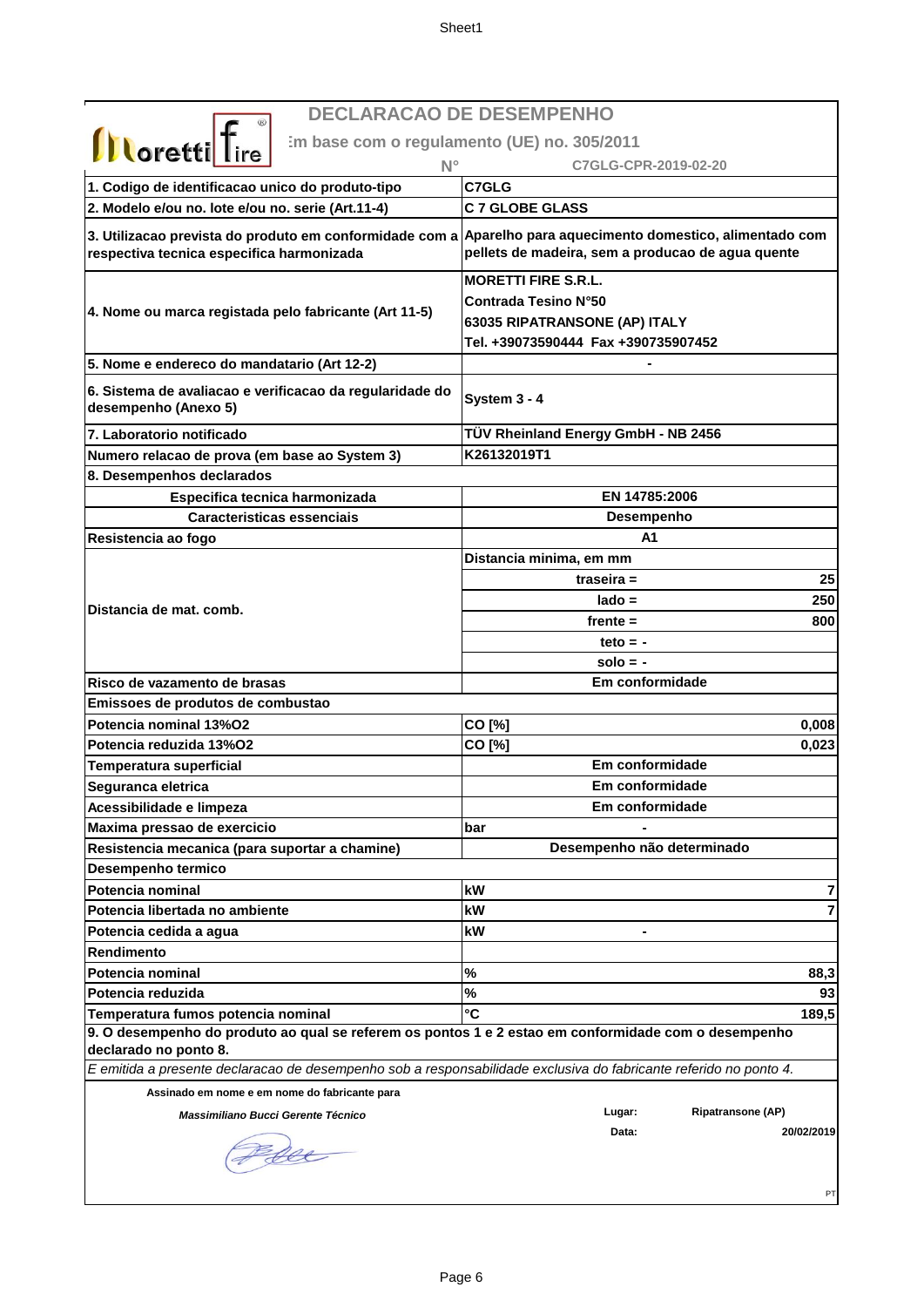**Em base com o regulamento (UE) no. 305/2011**

| <b><i>U</i></b> Corettle Lire<br>$N^{\circ}$                                                                      | C7GLG-CPR-2019-02-20                                                                                                       |
|-------------------------------------------------------------------------------------------------------------------|----------------------------------------------------------------------------------------------------------------------------|
| 1. Codigo de identificacao unico do produto-tipo                                                                  | C7GLG                                                                                                                      |
| 2. Modelo e/ou no. lote e/ou no. serie (Art.11-4)                                                                 | <b>C 7 GLOBE GLASS</b>                                                                                                     |
| 3. Utilizacao prevista do produto em conformidade com a<br>respectiva tecnica especifica harmonizada              | Aparelho para aquecimento domestico, alimentado com<br>pellets de madeira, sem a producao de agua quente                   |
| 4. Nome ou marca registada pelo fabricante (Art 11-5)                                                             | <b>MORETTI FIRE S.R.L.</b><br>Contrada Tesino N°50<br>63035 RIPATRANSONE (AP) ITALY<br>Tel. +39073590444 Fax +390735907452 |
| 5. Nome e endereco do mandatario (Art 12-2)                                                                       |                                                                                                                            |
| 6. Sistema de avaliacao e verificacao da regularidade do<br>desempenho (Anexo 5)                                  | System 3 - 4                                                                                                               |
| 7. Laboratorio notificado                                                                                         | TÜV Rheinland Energy GmbH - NB 2456                                                                                        |
| Numero relacao de prova (em base ao System 3)                                                                     | K26132019T1                                                                                                                |
| 8. Desempenhos declarados                                                                                         |                                                                                                                            |
| Especifica tecnica harmonizada                                                                                    | EN 14785:2006                                                                                                              |
| Caracteristicas essenciais                                                                                        | Desempenho                                                                                                                 |
| Resistencia ao fogo                                                                                               | A1                                                                                                                         |
|                                                                                                                   | Distancia minima, em mm                                                                                                    |
|                                                                                                                   | 25<br>traseira $=$                                                                                                         |
| Distancia de mat. comb.                                                                                           | 250<br>$lado =$                                                                                                            |
|                                                                                                                   | $f$ rente $=$<br>800                                                                                                       |
|                                                                                                                   | teto $= -$                                                                                                                 |
|                                                                                                                   | $solo = -$                                                                                                                 |
| Risco de vazamento de brasas                                                                                      | Em conformidade                                                                                                            |
| Emissoes de produtos de combustao                                                                                 |                                                                                                                            |
| Potencia nominal 13%02                                                                                            | CO [%]<br>0,008                                                                                                            |
| Potencia reduzida 13%O2                                                                                           | CO [%]<br>0,023                                                                                                            |
| <b>Temperatura superficial</b>                                                                                    | Em conformidade                                                                                                            |
| Seguranca eletrica                                                                                                | Em conformidade                                                                                                            |
| Acessibilidade e limpeza                                                                                          | Em conformidade                                                                                                            |
| Maxima pressao de exercicio                                                                                       | bar                                                                                                                        |
| Resistencia mecanica (para suportar a chamine)                                                                    | Desempenho não determinado                                                                                                 |
| Desempenho termico                                                                                                |                                                                                                                            |
| Potencia nominal                                                                                                  | kW<br>7                                                                                                                    |
| Potencia libertada no ambiente                                                                                    | 7<br>kW                                                                                                                    |
| Potencia cedida a agua                                                                                            | kW                                                                                                                         |
| Rendimento                                                                                                        |                                                                                                                            |
| Potencia nominal                                                                                                  | %<br>88,3                                                                                                                  |
| Potencia reduzida                                                                                                 | %<br>93                                                                                                                    |
| Temperatura fumos potencia nominal                                                                                | °C<br>189,5                                                                                                                |
| 9. O desempenho do produto ao qual se referem os pontos 1 e 2 estao em conformidade com o desempenho              |                                                                                                                            |
| declarado no ponto 8.                                                                                             |                                                                                                                            |
| E emitida a presente declaracao de desempenho sob a responsabilidade exclusiva do fabricante referido no ponto 4. |                                                                                                                            |
| Assinado em nome e em nome do fabricante para                                                                     | <b>Ripatransone (AP)</b>                                                                                                   |
| Massimiliano Bucci Gerente Técnico                                                                                | Lugar:<br>Data:<br>20/02/2019                                                                                              |
|                                                                                                                   | PT                                                                                                                         |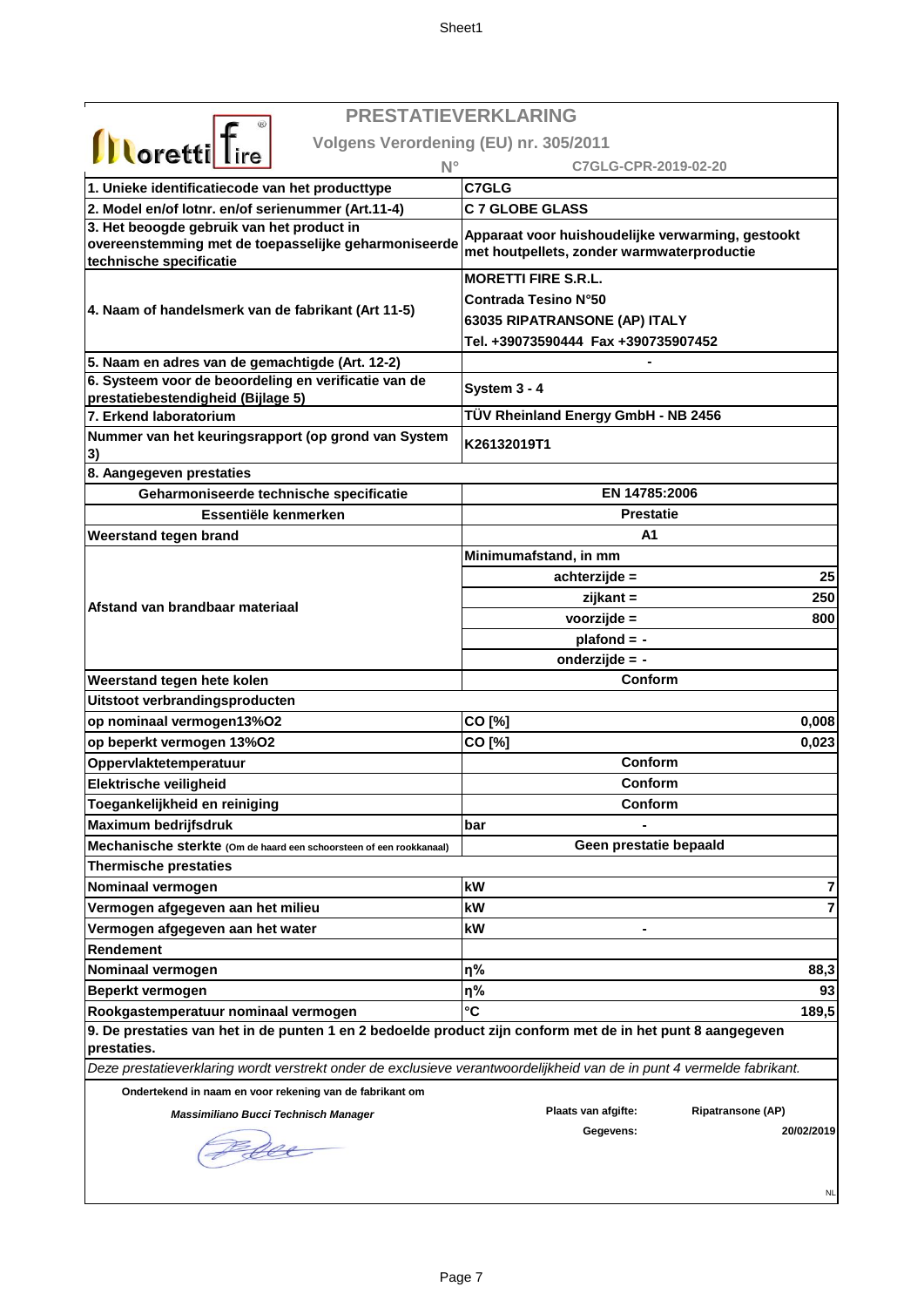|                                                                                                                           | <b>PRESTATIEVERKLARING</b>                                                                      |
|---------------------------------------------------------------------------------------------------------------------------|-------------------------------------------------------------------------------------------------|
| <b>Illoretti</b> Tire                                                                                                     | Volgens Verordening (EU) nr. 305/2011                                                           |
| N۰                                                                                                                        | C7GLG-CPR-2019-02-20                                                                            |
| 1. Unieke identificatiecode van het producttype                                                                           | C7GLG                                                                                           |
| 2. Model en/of lotnr. en/of serienummer (Art.11-4)                                                                        | <b>C 7 GLOBE GLASS</b>                                                                          |
| 3. Het beoogde gebruik van het product in                                                                                 |                                                                                                 |
| overeenstemming met de toepasselijke geharmoniseerde                                                                      | Apparaat voor huishoudelijke verwarming, gestookt<br>met houtpellets, zonder warmwaterproductie |
| technische specificatie                                                                                                   |                                                                                                 |
|                                                                                                                           | <b>MORETTI FIRE S.R.L.</b>                                                                      |
| 4. Naam of handelsmerk van de fabrikant (Art 11-5)                                                                        | <b>Contrada Tesino N°50</b>                                                                     |
|                                                                                                                           | 63035 RIPATRANSONE (AP) ITALY                                                                   |
|                                                                                                                           | Tel. +39073590444 Fax +390735907452                                                             |
| 5. Naam en adres van de gemachtigde (Art. 12-2)                                                                           |                                                                                                 |
| 6. Systeem voor de beoordeling en verificatie van de<br>prestatiebestendigheid (Bijlage 5)                                | System 3 - 4                                                                                    |
| 7. Erkend laboratorium                                                                                                    | TÜV Rheinland Energy GmbH - NB 2456                                                             |
| Nummer van het keuringsrapport (op grond van System<br> 3)                                                                | K26132019T1                                                                                     |
| 8. Aangegeven prestaties                                                                                                  |                                                                                                 |
| Geharmoniseerde technische specificatie                                                                                   | EN 14785:2006                                                                                   |
| Essentiële kenmerken                                                                                                      | <b>Prestatie</b>                                                                                |
| <b>Weerstand tegen brand</b>                                                                                              | A1                                                                                              |
|                                                                                                                           | Minimumafstand, in mm                                                                           |
|                                                                                                                           | achterzijde =<br>25                                                                             |
| Afstand van brandbaar materiaal                                                                                           | 250<br>zijkant =                                                                                |
|                                                                                                                           | voorzijde =<br>800                                                                              |
|                                                                                                                           | $plafond = -$                                                                                   |
|                                                                                                                           | onderzijde = -                                                                                  |
| Weerstand tegen hete kolen                                                                                                | Conform                                                                                         |
| Uitstoot verbrandingsproducten                                                                                            |                                                                                                 |
| op nominaal vermogen13%O2                                                                                                 | CO [%]<br>0,008                                                                                 |
| op beperkt vermogen 13%O2                                                                                                 | CO [%]<br>0,023                                                                                 |
| Oppervlaktetemperatuur                                                                                                    | Conform                                                                                         |
| Elektrische veiligheid                                                                                                    | Conform                                                                                         |
| Toegankelijkheid en reiniging                                                                                             | Conform                                                                                         |
| <b>Maximum bedrijfsdruk</b>                                                                                               | bar                                                                                             |
| Mechanische sterkte (Om de haard een schoorsteen of een rookkanaal)                                                       | Geen prestatie bepaald                                                                          |
| <b>Thermische prestaties</b>                                                                                              |                                                                                                 |
| Nominaal vermogen                                                                                                         | kW<br>7                                                                                         |
| Vermogen afgegeven aan het milieu                                                                                         | 7<br>kW                                                                                         |
| Vermogen afgegeven aan het water                                                                                          | kW                                                                                              |
| <b>Rendement</b>                                                                                                          |                                                                                                 |
| Nominaal vermogen                                                                                                         | η%<br>88,3                                                                                      |
| Beperkt vermogen                                                                                                          | η%<br>93                                                                                        |
| Rookgastemperatuur nominaal vermogen                                                                                      | $\mathbf{C}$<br>189,5                                                                           |
| 9. De prestaties van het in de punten 1 en 2 bedoelde product zijn conform met de in het punt 8 aangegeven<br>prestaties. |                                                                                                 |
| Deze prestatieverklaring wordt verstrekt onder de exclusieve verantwoordelijkheid van de in punt 4 vermelde fabrikant.    |                                                                                                 |
| Ondertekend in naam en voor rekening van de fabrikant om                                                                  |                                                                                                 |
| Massimiliano Bucci Technisch Manager                                                                                      | Plaats van afgifte:<br><b>Ripatransone (AP)</b>                                                 |
| fee                                                                                                                       | 20/02/2019<br>Gegevens:                                                                         |
|                                                                                                                           | <b>NL</b>                                                                                       |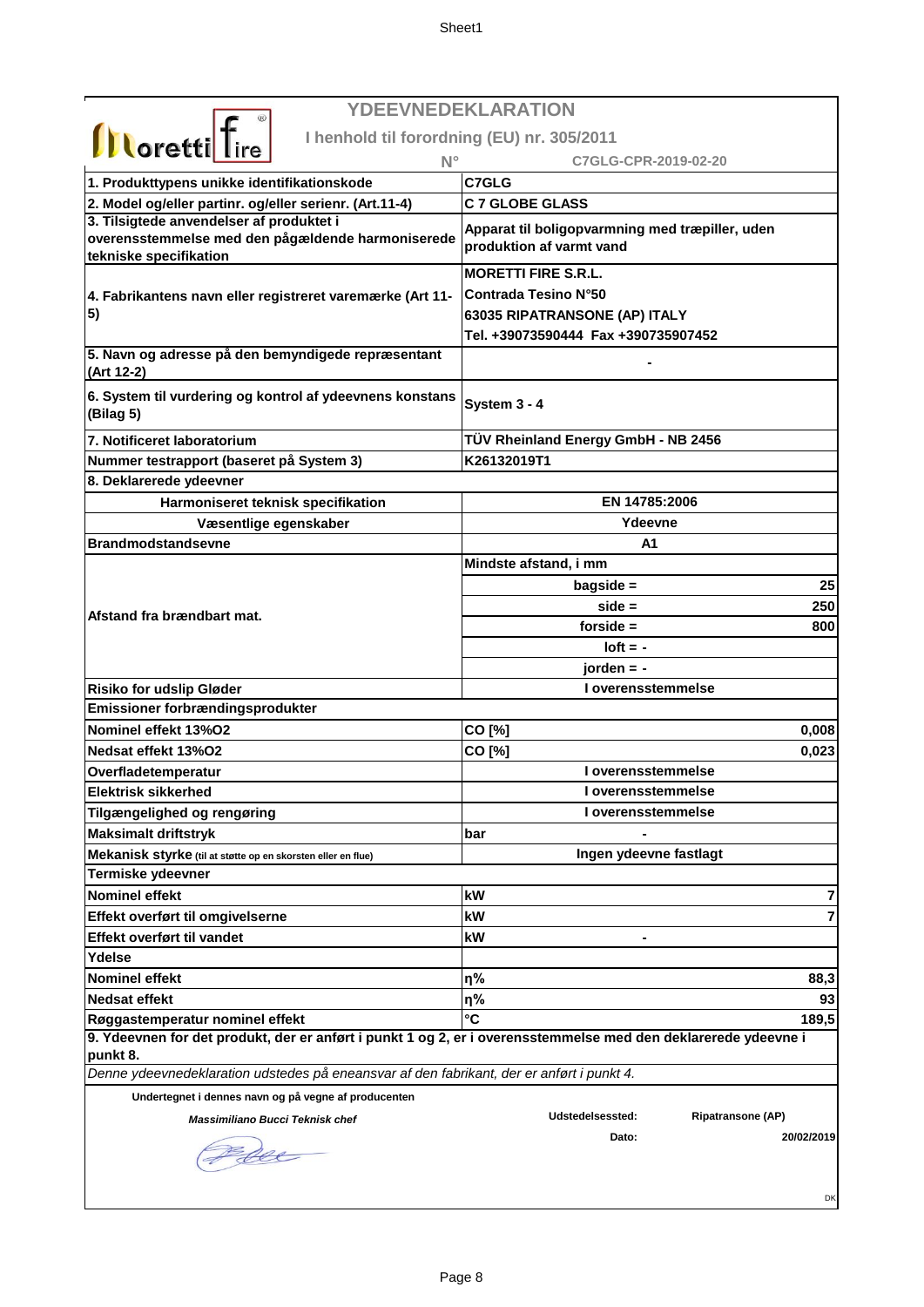|                                                                                                                                                   | YDEEVNEDEKLARATION                                                          |
|---------------------------------------------------------------------------------------------------------------------------------------------------|-----------------------------------------------------------------------------|
|                                                                                                                                                   | I henhold til forordning (EU) nr. 305/2011                                  |
| <b>Illoretti</b> fire<br>$N^{\circ}$                                                                                                              | C7GLG-CPR-2019-02-20                                                        |
| 1. Produkttypens unikke identifikationskode                                                                                                       | <b>C7GLG</b>                                                                |
| 2. Model og/eller partinr. og/eller serienr. (Art.11-4)                                                                                           | <b>C 7 GLOBE GLASS</b>                                                      |
| 3. Tilsigtede anvendelser af produktet i                                                                                                          |                                                                             |
| overensstemmelse med den pågældende harmoniserede<br>tekniske specifikation                                                                       | Apparat til boligopvarmning med træpiller, uden<br>produktion af varmt vand |
|                                                                                                                                                   | <b>MORETTI FIRE S.R.L.</b>                                                  |
| 4. Fabrikantens navn eller registreret varemærke (Art 11-                                                                                         | <b>Contrada Tesino N°50</b>                                                 |
| 5)                                                                                                                                                | 63035 RIPATRANSONE (AP) ITALY                                               |
|                                                                                                                                                   | Tel. +39073590444 Fax +390735907452                                         |
| 5. Navn og adresse på den bemyndigede repræsentant<br>(Art 12-2)                                                                                  |                                                                             |
| 6. System til vurdering og kontrol af ydeevnens konstans<br>(Bilag 5)                                                                             | System 3 - 4                                                                |
| 7. Notificeret laboratorium                                                                                                                       | TÜV Rheinland Energy GmbH - NB 2456                                         |
| Nummer testrapport (baseret på System 3)                                                                                                          | K26132019T1                                                                 |
| 8. Deklarerede ydeevner                                                                                                                           |                                                                             |
| Harmoniseret teknisk specifikation                                                                                                                | EN 14785:2006                                                               |
| Væsentlige egenskaber                                                                                                                             | Ydeevne                                                                     |
| <b>Brandmodstandsevne</b>                                                                                                                         | A1                                                                          |
|                                                                                                                                                   | Mindste afstand, i mm                                                       |
|                                                                                                                                                   | 25<br>$bagside =$                                                           |
|                                                                                                                                                   | 250<br>$side =$                                                             |
| Afstand fra brændbart mat.                                                                                                                        | forside $=$<br>800                                                          |
|                                                                                                                                                   | $I$ oft = -                                                                 |
|                                                                                                                                                   | $i$ orden = -                                                               |
| <b>Risiko for udslip Gløder</b>                                                                                                                   | I overensstemmelse                                                          |
| Emissioner forbrændingsprodukter                                                                                                                  |                                                                             |
| Nominel effekt 13%O2                                                                                                                              | CO [%]<br>0,008                                                             |
| Nedsat effekt 13%O2                                                                                                                               | CO [%]<br>0,023                                                             |
| Overfladetemperatur                                                                                                                               | I overensstemmelse                                                          |
| <b>Elektrisk sikkerhed</b>                                                                                                                        | I overensstemmelse                                                          |
| Tilgængelighed og rengøring                                                                                                                       | I overensstemmelse                                                          |
| <b>Maksimalt driftstryk</b>                                                                                                                       | bar                                                                         |
| Mekanisk styrke (til at støtte op en skorsten eller en flue)                                                                                      | Ingen ydeevne fastlagt                                                      |
| Termiske ydeevner                                                                                                                                 |                                                                             |
| <b>Nominel effekt</b>                                                                                                                             | kW                                                                          |
| Effekt overført til omgivelserne                                                                                                                  | 7<br>kW<br>$\overline{7}$                                                   |
| Effekt overført til vandet                                                                                                                        | kW                                                                          |
| Ydelse                                                                                                                                            |                                                                             |
|                                                                                                                                                   |                                                                             |
| <b>Nominel effekt</b><br><b>Nedsat effekt</b>                                                                                                     | η%<br>88,3                                                                  |
|                                                                                                                                                   | η%<br>93<br>°C                                                              |
| Røggastemperatur nominel effekt<br>9. Ydeevnen for det produkt, der er anført i punkt 1 og 2, er i overensstemmelse med den deklarerede ydeevne i | 189,5                                                                       |
| punkt 8.                                                                                                                                          |                                                                             |
| Denne ydeevnedeklaration udstedes på eneansvar af den fabrikant, der er anført i punkt 4.                                                         |                                                                             |
| Undertegnet i dennes navn og på vegne af producenten                                                                                              |                                                                             |
| Massimiliano Bucci Teknisk chef                                                                                                                   | Udstedelsessted:<br><b>Ripatransone (AP)</b>                                |
|                                                                                                                                                   | Dato:<br>20/02/2019                                                         |
| see                                                                                                                                               |                                                                             |
|                                                                                                                                                   | DK                                                                          |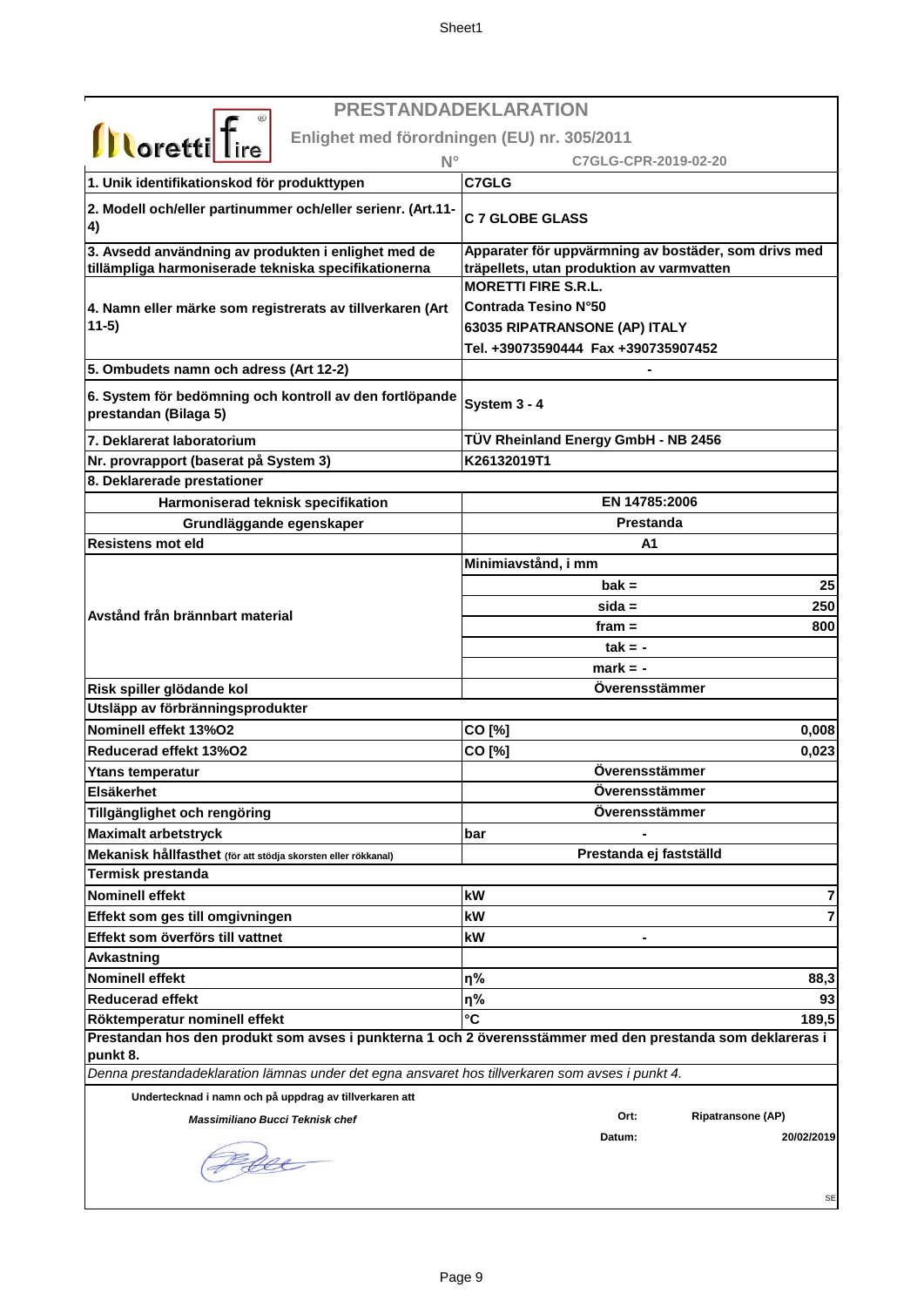| <b>PRESTANDADEKLARATION</b>                                                                                |                                                           |
|------------------------------------------------------------------------------------------------------------|-----------------------------------------------------------|
| <b>Illoretti</b> Tire<br>Enlighet med förordningen (EU) nr. 305/2011                                       |                                                           |
| $N^{\circ}$                                                                                                | C7GLG-CPR-2019-02-20                                      |
| 1. Unik identifikationskod för produkttypen                                                                | C7GLG                                                     |
| 2. Modell och/eller partinummer och/eller serienr. (Art.11-<br>$\vert 4)$                                  | <b>C 7 GLOBE GLASS</b>                                    |
| 3. Avsedd användning av produkten i enlighet med de                                                        | Apparater för uppvärmning av bostäder, som drivs med      |
| tillämpliga harmoniserade tekniska specifikationerna                                                       | träpellets, utan produktion av varmvatten                 |
|                                                                                                            | <b>MORETTI FIRE S.R.L.</b><br><b>Contrada Tesino N°50</b> |
| 4. Namn eller märke som registrerats av tillverkaren (Art<br>$11-5)$                                       | 63035 RIPATRANSONE (AP) ITALY                             |
|                                                                                                            | Tel. +39073590444 Fax +390735907452                       |
| 5. Ombudets namn och adress (Art 12-2)                                                                     |                                                           |
|                                                                                                            |                                                           |
| 6. System för bedömning och kontroll av den fortlöpande<br>prestandan (Bilaga 5)                           | System 3 - 4                                              |
| 7. Deklarerat laboratorium                                                                                 | TÜV Rheinland Energy GmbH - NB 2456                       |
| Nr. provrapport (baserat på System 3)                                                                      | K26132019T1                                               |
| 8. Deklarerade prestationer                                                                                |                                                           |
| Harmoniserad teknisk specifikation                                                                         | EN 14785:2006                                             |
| Grundläggande egenskaper                                                                                   | <b>Prestanda</b>                                          |
| Resistens mot eld                                                                                          | A1                                                        |
|                                                                                                            | Minimiavstånd, i mm                                       |
|                                                                                                            | $bak =$<br>25                                             |
| Avstånd från brännbart material                                                                            | 250<br>$sida =$                                           |
|                                                                                                            | 800<br>fram $=$                                           |
|                                                                                                            | $tak = -$                                                 |
|                                                                                                            | $mark = -$                                                |
| Risk spiller glödande kol                                                                                  | Overensstämmer                                            |
| Utsläpp av förbränningsprodukter                                                                           |                                                           |
| Nominell effekt 13%O2<br>Reducerad effekt 13%O2                                                            | CO [%]<br>0,008                                           |
|                                                                                                            | CO [%]<br>0,023<br>Överensstämmer                         |
| Ytans temperatur<br><b>Elsäkerhet</b>                                                                      | Överensstämmer                                            |
| Tillgänglighet och rengöring                                                                               | Överensstämmer                                            |
| <b>Maximalt arbetstryck</b>                                                                                | bar                                                       |
| Mekanisk hållfasthet (för att stödja skorsten eller rökkanal)                                              | Prestanda ej fastställd                                   |
| <b>Termisk prestanda</b>                                                                                   |                                                           |
| Nominell effekt                                                                                            | kW<br>7                                                   |
| Effekt som ges till omgivningen                                                                            | 7<br>kW                                                   |
| Effekt som överförs till vattnet                                                                           | kW                                                        |
| <b>Avkastning</b>                                                                                          |                                                           |
| <b>Nominell effekt</b>                                                                                     | η%<br>88,3                                                |
| <b>Reducerad effekt</b>                                                                                    | η%<br>93                                                  |
| Röktemperatur nominell effekt                                                                              | °C<br>189,5                                               |
| Prestandan hos den produkt som avses i punkterna 1 och 2 överensstämmer med den prestanda som deklareras i |                                                           |
| punkt 8.                                                                                                   |                                                           |
| Denna prestandadeklaration lämnas under det egna ansvaret hos tillverkaren som avses i punkt 4.            |                                                           |
| Undertecknad i namn och på uppdrag av tillverkaren att                                                     |                                                           |
| Massimiliano Bucci Teknisk chef                                                                            | Ort:<br><b>Ripatransone (AP)</b>                          |
|                                                                                                            | 20/02/2019<br>Datum:<br><b>SE</b>                         |
|                                                                                                            |                                                           |